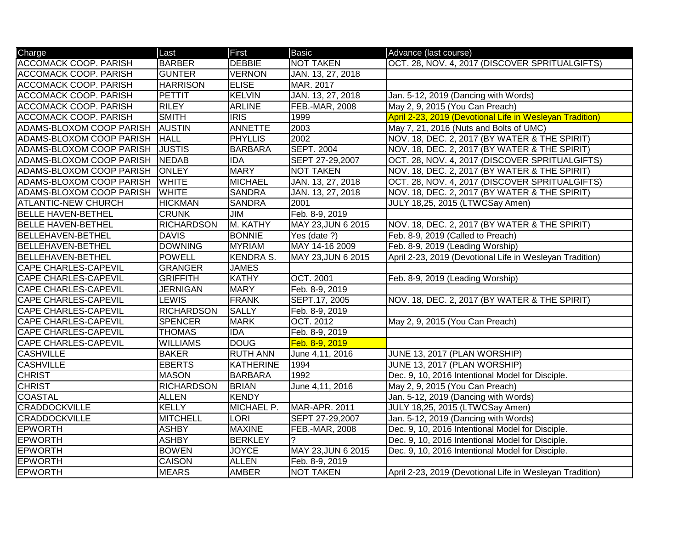| Charge                       | Last              | First            | <b>Basic</b>          | Advance (last course)                                    |
|------------------------------|-------------------|------------------|-----------------------|----------------------------------------------------------|
| <b>ACCOMACK COOP. PARISH</b> | <b>BARBER</b>     | <b>DEBBIE</b>    | <b>NOT TAKEN</b>      | OCT. 28, NOV. 4, 2017 (DISCOVER SPRITUALGIFTS)           |
| <b>ACCOMACK COOP. PARISH</b> | <b>GUNTER</b>     | <b>VERNON</b>    | JAN. 13, 27, 2018     |                                                          |
| <b>ACCOMACK COOP. PARISH</b> | <b>HARRISON</b>   | <b>ELISE</b>     | MAR. 2017             |                                                          |
| <b>ACCOMACK COOP. PARISH</b> | <b>PETTIT</b>     | <b>KELVIN</b>    | JAN. 13, 27, 2018     | Jan. 5-12, 2019 (Dancing with Words)                     |
| <b>ACCOMACK COOP. PARISH</b> | <b>RILEY</b>      | <b>ARLINE</b>    | <b>FEB.-MAR, 2008</b> | May 2, 9, 2015 (You Can Preach)                          |
| <b>ACCOMACK COOP. PARISH</b> | <b>SMITH</b>      | <b>IRIS</b>      | 1999                  | April 2-23, 2019 (Devotional Life in Wesleyan Tradition) |
| ADAMS-BLOXOM COOP PARISH     | <b>AUSTIN</b>     | <b>ANNETTE</b>   | 2003                  | May 7, 21, 2016 (Nuts and Bolts of UMC)                  |
| ADAMS-BLOXOM COOP PARISH     | <b>HALL</b>       | <b>PHYLLIS</b>   | 2002                  | NOV. 18, DEC. 2, 2017 (BY WATER & THE SPIRIT)            |
| ADAMS-BLOXOM COOP PARISH     | <b>JUSTIS</b>     | <b>BARBARA</b>   | <b>SEPT. 2004</b>     | NOV. 18, DEC. 2, 2017 (BY WATER & THE SPIRIT)            |
| ADAMS-BLOXOM COOP PARISH     | <b>NEDAB</b>      | <b>IDA</b>       | SEPT 27-29,2007       | OCT. 28, NOV. 4, 2017 (DISCOVER SPRITUALGIFTS)           |
| ADAMS-BLOXOM COOP PARISH     | <b>ONLEY</b>      | <b>MARY</b>      | <b>NOT TAKEN</b>      | NOV. 18, DEC. 2, 2017 (BY WATER & THE SPIRIT)            |
| ADAMS-BLOXOM COOP PARISH     | <b>WHITE</b>      | <b>MICHAEL</b>   | JAN. 13, 27, 2018     | OCT. 28, NOV. 4, 2017 (DISCOVER SPRITUALGIFTS)           |
| ADAMS-BLOXOM COOP PARISH     | <b>WHITE</b>      | <b>SANDRA</b>    | JAN. 13, 27, 2018     | NOV. 18, DEC. 2, 2017 (BY WATER & THE SPIRIT)            |
| <b>ATLANTIC-NEW CHURCH</b>   | <b>HICKMAN</b>    | <b>SANDRA</b>    | 2001                  | JULY 18,25, 2015 (LTWCSay Amen)                          |
| <b>BELLE HAVEN-BETHEL</b>    | <b>CRUNK</b>      | <b>JIM</b>       | Feb. 8-9, 2019        |                                                          |
| <b>BELLE HAVEN-BETHEL</b>    | <b>RICHARDSON</b> | M. KATHY         | MAY 23, JUN 6 2015    | NOV. 18, DEC. 2, 2017 (BY WATER & THE SPIRIT)            |
| <b>BELLEHAVEN-BETHEL</b>     | <b>DAVIS</b>      | <b>BONNIE</b>    | Yes (date ?)          | Feb. 8-9, 2019 (Called to Preach)                        |
| <b>BELLEHAVEN-BETHEL</b>     | <b>DOWNING</b>    | <b>MYRIAM</b>    | MAY 14-16 2009        | Feb. 8-9, 2019 (Leading Worship)                         |
| <b>BELLEHAVEN-BETHEL</b>     | <b>POWELL</b>     | <b>KENDRA S.</b> | MAY 23, JUN 6 2015    | April 2-23, 2019 (Devotional Life in Wesleyan Tradition) |
| <b>CAPE CHARLES-CAPEVIL</b>  | <b>GRANGER</b>    | <b>JAMES</b>     |                       |                                                          |
| <b>CAPE CHARLES-CAPEVIL</b>  | <b>GRIFFITH</b>   | <b>KATHY</b>     | <b>OCT. 2001</b>      | Feb. 8-9, 2019 (Leading Worship)                         |
| <b>CAPE CHARLES-CAPEVIL</b>  | <b>JERNIGAN</b>   | <b>MARY</b>      | Feb. 8-9, 2019        |                                                          |
| <b>CAPE CHARLES-CAPEVIL</b>  | <b>LEWIS</b>      | <b>FRANK</b>     | SEPT.17, 2005         | NOV. 18, DEC. 2, 2017 (BY WATER & THE SPIRIT)            |
| <b>CAPE CHARLES-CAPEVIL</b>  | <b>RICHARDSON</b> | <b>SALLY</b>     | Feb. 8-9, 2019        |                                                          |
| CAPE CHARLES-CAPEVIL         | <b>SPENCER</b>    | <b>MARK</b>      | <b>OCT. 2012</b>      | May 2, 9, 2015 (You Can Preach)                          |
| CAPE CHARLES-CAPEVIL         | <b>THOMAS</b>     | <b>IDA</b>       | Feb. 8-9, 2019        |                                                          |
| <b>CAPE CHARLES-CAPEVIL</b>  | <b>WILLIAMS</b>   | <b>DOUG</b>      | Feb. 8-9, 2019        |                                                          |
| <b>CASHVILLE</b>             | <b>BAKER</b>      | <b>RUTH ANN</b>  | June 4,11, 2016       | JUNE 13, 2017 (PLAN WORSHIP)                             |
| <b>CASHVILLE</b>             | <b>EBERTS</b>     | <b>KATHERINE</b> | 1994                  | JUNE 13, 2017 (PLAN WORSHIP)                             |
| <b>CHRIST</b>                | <b>MASON</b>      | <b>BARBARA</b>   | $\overline{1992}$     | Dec. 9, 10, 2016 Intentional Model for Disciple.         |
| <b>CHRIST</b>                | <b>RICHARDSON</b> | <b>BRIAN</b>     | June 4,11, 2016       | May 2, 9, 2015 (You Can Preach)                          |
| <b>COASTAL</b>               | <b>ALLEN</b>      | KENDY            |                       | Jan. 5-12, 2019 (Dancing with Words)                     |
| <b>CRADDOCKVILLE</b>         | <b>KELLY</b>      | MICHAEL P.       | MAR-APR. 2011         | JULY 18,25, 2015 (LTWCSay Amen)                          |
| <b>CRADDOCKVILLE</b>         | <b>MITCHELL</b>   | <b>LORI</b>      | SEPT 27-29,2007       | Jan. 5-12, 2019 (Dancing with Words)                     |
| <b>EPWORTH</b>               | <b>ASHBY</b>      | <b>MAXINE</b>    | FEB.-MAR, 2008        | Dec. 9, 10, 2016 Intentional Model for Disciple.         |
| <b>EPWORTH</b>               | <b>ASHBY</b>      | <b>BERKLEY</b>   | ?                     | Dec. 9, 10, 2016 Intentional Model for Disciple.         |
| <b>EPWORTH</b>               | <b>BOWEN</b>      | <b>JOYCE</b>     | MAY 23, JUN 6 2015    | Dec. 9, 10, 2016 Intentional Model for Disciple.         |
| <b>EPWORTH</b>               | <b>CAISON</b>     | <b>ALLEN</b>     | Feb. 8-9, 2019        |                                                          |
| <b>EPWORTH</b>               | <b>MEARS</b>      | <b>AMBER</b>     | <b>NOT TAKEN</b>      | April 2-23, 2019 (Devotional Life in Wesleyan Tradition) |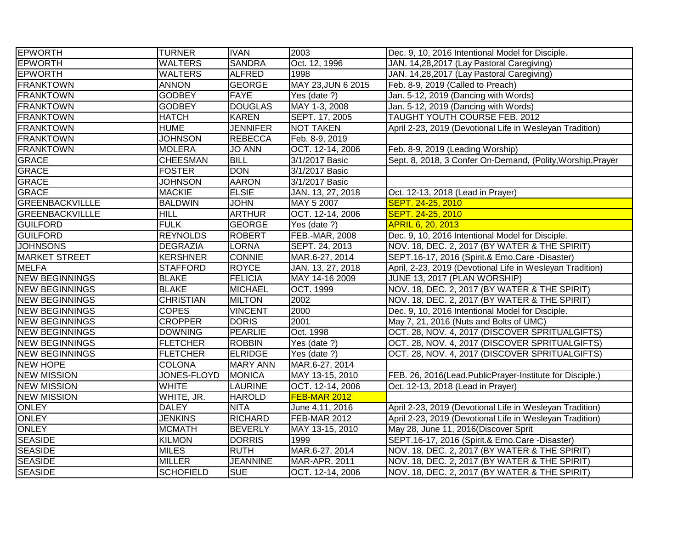| <b>EPWORTH</b>         | <b>TURNER</b>    | <b>IVAN</b>     | 2003                 | Dec. 9, 10, 2016 Intentional Model for Disciple.            |
|------------------------|------------------|-----------------|----------------------|-------------------------------------------------------------|
| <b>EPWORTH</b>         | <b>WALTERS</b>   | <b>SANDRA</b>   | Oct. 12, 1996        | JAN. 14,28,2017 (Lay Pastoral Caregiving)                   |
| <b>EPWORTH</b>         | <b>WALTERS</b>   | <b>ALFRED</b>   | 1998                 | JAN. 14,28,2017 (Lay Pastoral Caregiving)                   |
| <b>FRANKTOWN</b>       | <b>ANNON</b>     | <b>GEORGE</b>   | MAY 23, JUN 6 2015   | Feb. 8-9, 2019 (Called to Preach)                           |
| <b>FRANKTOWN</b>       | <b>GODBEY</b>    | <b>FAYE</b>     | Yes (date $?$ )      | Jan. 5-12, 2019 (Dancing with Words)                        |
| <b>FRANKTOWN</b>       | <b>GODBEY</b>    | <b>DOUGLAS</b>  | MAY 1-3, 2008        | Jan. 5-12, 2019 (Dancing with Words)                        |
| <b>FRANKTOWN</b>       | <b>HATCH</b>     | <b>KAREN</b>    | SEPT. 17, 2005       | <b>TAUGHT YOUTH COURSE FEB. 2012</b>                        |
| <b>FRANKTOWN</b>       | <b>HUME</b>      | <b>JENNIFER</b> | <b>NOT TAKEN</b>     | April 2-23, 2019 (Devotional Life in Wesleyan Tradition)    |
| <b>FRANKTOWN</b>       | <b>JOHNSON</b>   | <b>REBECCA</b>  | Feb. 8-9, 2019       |                                                             |
| <b>FRANKTOWN</b>       | <b>MOLERA</b>    | <b>JO ANN</b>   | OCT. 12-14, 2006     | Feb. 8-9, 2019 (Leading Worship)                            |
| <b>GRACE</b>           | <b>CHEESMAN</b>  | <b>BILL</b>     | 3/1/2017 Basic       | Sept. 8, 2018, 3 Confer On-Demand, (Polity, Worship, Prayer |
| GRACE                  | <b>FOSTER</b>    | <b>DON</b>      | 3/1/2017 Basic       |                                                             |
| <b>GRACE</b>           | <b>JOHNSON</b>   | <b>AARON</b>    | 3/1/2017 Basic       |                                                             |
| <b>GRACE</b>           | <b>MACKIE</b>    | <b>ELSIE</b>    | JAN. 13, 27, 2018    | Oct. 12-13, 2018 (Lead in Prayer)                           |
| <b>GREENBACKVILLLE</b> | <b>BALDWIN</b>   | <b>JOHN</b>     | MAY 5 2007           | SEPT. 24-25, 2010                                           |
| <b>GREENBACKVILLLE</b> | <b>HILL</b>      | <b>ARTHUR</b>   | OCT. 12-14, 2006     | SEPT. 24-25, 2010                                           |
| <b>GUILFORD</b>        | <b>FULK</b>      | <b>GEORGE</b>   | Yes (date ?)         | APRIL 6, 20, 2013                                           |
| <b>GUILFORD</b>        | <b>REYNOLDS</b>  | <b>ROBERT</b>   | FEB.-MAR, 2008       | Dec. 9, 10, 2016 Intentional Model for Disciple.            |
| <b>JOHNSONS</b>        | <b>DEGRAZIA</b>  | <b>LORNA</b>    | SEPT. 24, 2013       | NOV. 18, DEC. 2, 2017 (BY WATER & THE SPIRIT)               |
| <b>MARKET STREET</b>   | <b>KERSHNER</b>  | <b>CONNIE</b>   | MAR.6-27, 2014       | SEPT.16-17, 2016 (Spirit.& Emo.Care -Disaster)              |
| <b>MELFA</b>           | <b>STAFFORD</b>  | <b>ROYCE</b>    | JAN. 13, 27, 2018    | April, 2-23, 2019 (Devotional Life in Wesleyan Tradition)   |
| <b>NEW BEGINNINGS</b>  | <b>BLAKE</b>     | <b>FELICIA</b>  | MAY 14-16 2009       | JUNE 13, 2017 (PLAN WORSHIP)                                |
| <b>NEW BEGINNINGS</b>  | <b>BLAKE</b>     | <b>MICHAEL</b>  | OCT. 1999            | NOV. 18, DEC. 2, 2017 (BY WATER & THE SPIRIT)               |
| <b>NEW BEGINNINGS</b>  | <b>CHRISTIAN</b> | <b>MILTON</b>   | 2002                 | NOV. 18, DEC. 2, 2017 (BY WATER & THE SPIRIT)               |
| <b>NEW BEGINNINGS</b>  | <b>COPES</b>     | <b>VINCENT</b>  | 2000                 | Dec. 9, 10, 2016 Intentional Model for Disciple.            |
| <b>NEW BEGINNINGS</b>  | <b>CROPPER</b>   | <b>DORIS</b>    | 2001                 | May 7, 21, 2016 (Nuts and Bolts of UMC)                     |
| <b>NEW BEGINNINGS</b>  | <b>DOWNING</b>   | <b>PEARLIE</b>  | Oct. 1998            | OCT. 28, NOV. 4, 2017 (DISCOVER SPRITUALGIFTS)              |
| <b>NEW BEGINNINGS</b>  | <b>FLETCHER</b>  | <b>ROBBIN</b>   | Yes (date ?)         | OCT. 28, NOV. 4, 2017 (DISCOVER SPRITUALGIFTS)              |
| <b>NEW BEGINNINGS</b>  | <b>FLETCHER</b>  | <b>ELRIDGE</b>  | Yes (date ?)         | OCT. 28, NOV. 4, 2017 (DISCOVER SPRITUALGIFTS)              |
| <b>NEW HOPE</b>        | <b>COLONA</b>    | <b>MARY ANN</b> | MAR.6-27, 2014       |                                                             |
| <b>NEW MISSION</b>     | JONES-FLOYD      | MONICA          | MAY 13-15, 2010      | FEB. 26, 2016(Lead.PublicPrayer-Institute for Disciple.)    |
| <b>NEW MISSION</b>     | <b>WHITE</b>     | <b>LAURINE</b>  | OCT. 12-14, 2006     | Oct. 12-13, 2018 (Lead in Prayer)                           |
| <b>NEW MISSION</b>     | WHITE, JR.       | <b>HAROLD</b>   | FEB-MAR 2012         |                                                             |
| ONLEY                  | <b>DALEY</b>     | <b>NITA</b>     | June 4,11, 2016      | April 2-23, 2019 (Devotional Life in Wesleyan Tradition)    |
| <b>ONLEY</b>           | <b>JENKINS</b>   | <b>RICHARD</b>  | FEB-MAR 2012         | April 2-23, 2019 (Devotional Life in Wesleyan Tradition)    |
| <b>ONLEY</b>           | <b>MCMATH</b>    | <b>BEVERLY</b>  | MAY 13-15, 2010      | May 28, June 11, 2016(Discover Sprit                        |
| <b>SEASIDE</b>         | <b>KILMON</b>    | <b>DORRIS</b>   | 1999                 | SEPT.16-17, 2016 (Spirit.& Emo.Care -Disaster)              |
| <b>SEASIDE</b>         | <b>MILES</b>     | <b>RUTH</b>     | MAR.6-27, 2014       | NOV. 18, DEC. 2, 2017 (BY WATER & THE SPIRIT)               |
| <b>SEASIDE</b>         | <b>MILLER</b>    | <b>JEANNINE</b> | <b>MAR-APR. 2011</b> | NOV. 18, DEC. 2, 2017 (BY WATER & THE SPIRIT)               |
| <b>SEASIDE</b>         | <b>SCHOFIELD</b> | <b>SUE</b>      | OCT. 12-14, 2006     | NOV. 18, DEC. 2, 2017 (BY WATER & THE SPIRIT)               |